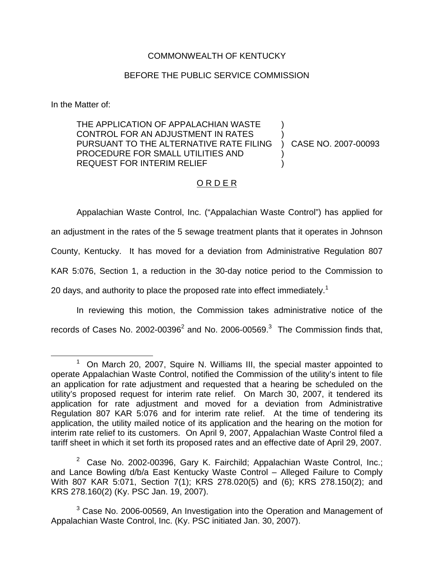## COMMONWEALTH OF KENTUCKY

## BEFORE THE PUBLIC SERVICE COMMISSION

In the Matter of:

THE APPLICATION OF APPALACHIAN WASTE CONTROL FOR AN ADJUSTMENT IN RATES PURSUANT TO THE ALTERNATIVE RATE FILING PROCEDURE FOR SMALL UTILITIES AND REQUEST FOR INTERIM RELIEF ) ) ) CASE NO. 2007-00093 ) )

## O R D E R

Appalachian Waste Control, Inc. ("Appalachian Waste Control") has applied for an adjustment in the rates of the 5 sewage treatment plants that it operates in Johnson County, Kentucky. It has moved for a deviation from Administrative Regulation 807 KAR 5:076, Section 1, a reduction in the 30-day notice period to the Commission to 20 days, and authority to place the proposed rate into effect immediately.<sup>1</sup>

In reviewing this motion, the Commission takes administrative notice of the records of Cases No. 2002-00396 $^2$  and No. 2006-00569. $^3$  The Commission finds that,

 $1$  On March 20, 2007, Squire N. Williams III, the special master appointed to operate Appalachian Waste Control, notified the Commission of the utility's intent to file an application for rate adjustment and requested that a hearing be scheduled on the utility's proposed request for interim rate relief. On March 30, 2007, it tendered its application for rate adjustment and moved for a deviation from Administrative Regulation 807 KAR 5:076 and for interim rate relief. At the time of tendering its application, the utility mailed notice of its application and the hearing on the motion for interim rate relief to its customers. On April 9, 2007, Appalachian Waste Control filed a tariff sheet in which it set forth its proposed rates and an effective date of April 29, 2007.

 $2$  Case No. 2002-00396, Gary K. Fairchild; Appalachian Waste Control, Inc.; and Lance Bowling d/b/a East Kentucky Waste Control – Alleged Failure to Comply With 807 KAR 5:071, Section 7(1); KRS 278.020(5) and (6); KRS 278.150(2); and KRS 278.160(2) (Ky. PSC Jan. 19, 2007).

 $3$  Case No. 2006-00569, An Investigation into the Operation and Management of Appalachian Waste Control, Inc. (Ky. PSC initiated Jan. 30, 2007).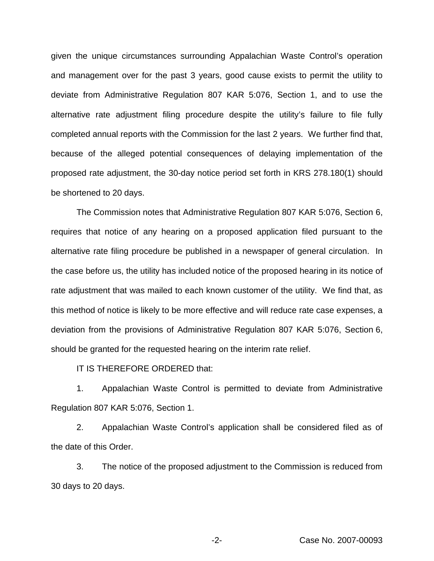given the unique circumstances surrounding Appalachian Waste Control's operation and management over for the past 3 years, good cause exists to permit the utility to deviate from Administrative Regulation 807 KAR 5:076, Section 1, and to use the alternative rate adjustment filing procedure despite the utility's failure to file fully completed annual reports with the Commission for the last 2 years. We further find that, because of the alleged potential consequences of delaying implementation of the proposed rate adjustment, the 30-day notice period set forth in KRS 278.180(1) should be shortened to 20 days.

The Commission notes that Administrative Regulation 807 KAR 5:076, Section 6, requires that notice of any hearing on a proposed application filed pursuant to the alternative rate filing procedure be published in a newspaper of general circulation. In the case before us, the utility has included notice of the proposed hearing in its notice of rate adjustment that was mailed to each known customer of the utility. We find that, as this method of notice is likely to be more effective and will reduce rate case expenses, a deviation from the provisions of Administrative Regulation 807 KAR 5:076, Section 6, should be granted for the requested hearing on the interim rate relief.

IT IS THEREFORE ORDERED that:

1. Appalachian Waste Control is permitted to deviate from Administrative Regulation 807 KAR 5:076, Section 1.

2. Appalachian Waste Control's application shall be considered filed as of the date of this Order.

3. The notice of the proposed adjustment to the Commission is reduced from 30 days to 20 days.